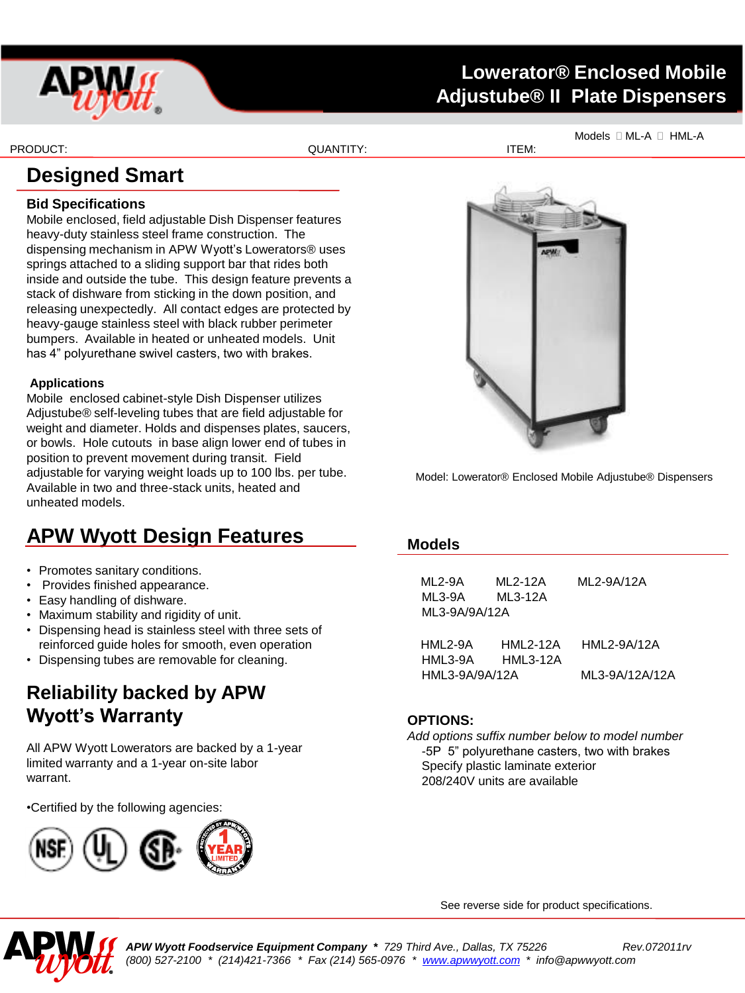

## **Lowerator® Enclosed Mobile Adjustube® II Plate Dispensers**

PRODUCT: ITEM: ITEM: ITEM: ITEM: ITEM: ITEM: ITEM: ITEM: ITEM: ITEM: ITEM: ITEM: ITEM: ITEM: ITEM: ITEM: ITEM: ITEM: ITEM: ITEM: ITEM: ITEM: ITEM: ITEM: ITEM: ITEM: ITEM: ITEM: ITEM: ITEM: ITEM: ITEM: ITEM: ITEM: ITEM: ITE

Models  $\Box$  ML-A  $\Box$  HML-A

# **Designed Smart**

#### **Bid Specifications**

Mobile enclosed, field adjustable Dish Dispenser features heavy-duty stainless steel frame construction. The dispensing mechanism in APW Wyott's Lowerators® uses springs attached to a sliding support bar that rides both inside and outside the tube. This design feature prevents a stack of dishware from sticking in the down position, and releasing unexpectedly. All contact edges are protected by heavy-gauge stainless steel with black rubber perimeter bumpers. Available in heated or unheated models. Unit has 4" polyurethane swivel casters, two with brakes.

#### **Applications**

Mobile enclosed cabinet-style Dish Dispenser utilizes Adjustube® self-leveling tubes that are field adjustable for weight and diameter. Holds and dispenses plates, saucers, or bowls. Hole cutouts in base align lower end of tubes in position to prevent movement during transit. Field adjustable for varying weight loads up to 100 lbs. per tube. Available in two and three-stack units, heated and unheated models.

## **APW Wyott Design Features**

- Promotes sanitary conditions.
- Provides finished appearance.
- Easy handling of dishware.
- Maximum stability and rigidity of unit.
- Dispensing head is stainless steel with three sets of reinforced guide holes for smooth, even operation
- Dispensing tubes are removable for cleaning.

## **Reliability backed by APW Wyott's Warranty**

All APW Wyott Lowerators are backed by a 1-year limited warranty and a 1-year on-site labor warrant.

•Certified by the following agencies:





Model: Lowerator® Enclosed Mobile Adjustube® Dispensers

#### **Models**

| ML 2-9A        | ML 2-12A        | ML2-9A/12A     |  |  |  |  |
|----------------|-----------------|----------------|--|--|--|--|
| ML3-9A         | ML3-12A         |                |  |  |  |  |
| ML3-9A/9A/12A  |                 |                |  |  |  |  |
|                |                 |                |  |  |  |  |
| HML2-9A        | <b>HML2-12A</b> | HML2-9A/12A    |  |  |  |  |
| HML3-9A        | <b>HML3-12A</b> |                |  |  |  |  |
| HML3-9A/9A/12A |                 | ML3-9A/12A/12A |  |  |  |  |

#### **OPTIONS:**

*Add options suffix number below to model number* -5P 5" polyurethane casters, two with brakes Specify plastic laminate exterior 208/240V units are available

See reverse side for product specifications.



*APW Wyott Foodservice Equipment Company \* 729 Third Ave., Dallas, TX 75226 Rev.072011rv (800) 527-2100 \* (214)421-7366 \* Fax (214) 565-0976 \* [www.apwwyott.com](http://www.apwwyott.com/) \* info@apwwyott.com*